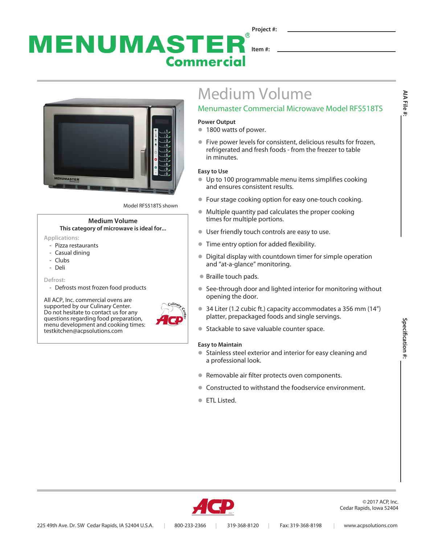### **Project #:**  $\circledR$ MENUMASTER **Item #: Commercial**



Model RFS518TS shown

#### **Medium Volume This category of microwave is ideal for...**

- **Applications:**
- Pizza restaurants
- Casual dining
- Clubs
- Deli

**Defrost:**

- Defrosts most frozen food products

All ACP, Inc. commercial ovens are supported by our Culinary Center. Do not hesitate to contact us for any questions regarding food preparation, menu development and cooking times: testkitchen@acpsolutions.com



# Medium Volume

## Menumaster Commercial Microwave Model RFS518TS

#### **Power Output**

- **1800 watts of power.**
- l Five power levels for consistent, delicious results for frozen, refrigerated and fresh foods - from the freezer to table in minutes.

#### **Easy to Use**

- $\bullet$  Up to 100 programmable menu items simplifies cooking and ensures consistent results.
- Four stage cooking option for easy one-touch cooking.
- $\bullet$  Multiple quantity pad calculates the proper cooking times for multiple portions.
- **User friendly touch controls are easy to use.**
- **Time entry option for added flexibility.**
- Digital display with countdown timer for simple operation and "at-a-glance" monitoring.
- Braille touch pads.
- See-through door and lighted interior for monitoring without opening the door.
- $\bullet$  34 Liter (1.2 cubic ft.) capacity accommodates a 356 mm (14") platter, prepackaged foods and single servings.
- Stackable to save valuable counter space.

#### **Easy to Maintain**

- Stainless steel exterior and interior for easy cleaning and a professional look.
- Removable air filter protects oven components.
- Constructed to withstand the foodservice environment.
- **FTL Listed.**

**AIA File #:**

AIA File #:



©2017 ACP, Inc. Cedar Rapids, Iowa 52404